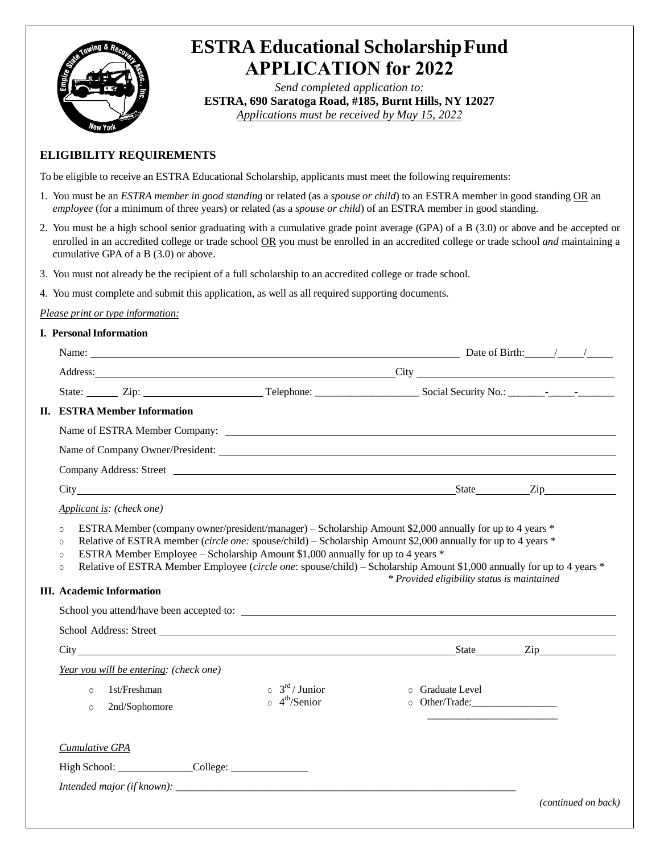

# **ESTRA Educational Scholarship Fund APPLICATION for 2022**

*Send completed application to:* **ESTRA, 690 Saratoga Road, #185, Burnt Hills, NY 12027** *Applications must be received by May 15, 2022*

### **ELIGIBILITY REQUIREMENTS**

To be eligible to receive an ESTRA Educational Scholarship, applicants must meet the following requirements:

- 1. You must be an *ESTRA member in good standing* or related (as a *spouse or child*) to an ESTRA member in good standing OR an *employee* (for a minimum of three years) or related (as a *spouse or child*) of an ESTRA member in good standing.
- 2. You must be a high school senior graduating with a cumulative grade point average (GPA) of a B (3.0) or above and be accepted or enrolled in an accredited college or trade school OR you must be enrolled in an accredited college or trade school *and* maintaining a cumulative GPA of a B (3.0) or above.
- 3. You must not already be the recipient of a full scholarship to an accredited college or trade school.
- 4. You must complete and submit this application, as well as all required supporting documents.

#### *Please print or type information:*

#### **I. Personal Information**

| Name: $\frac{1}{2}$ Date of Birth: $\frac{1}{2}$ Date of Birth: $\frac{1}{2}$                                                                                                                                                                                                                                                                                                                                                                                                                |                                                                     |                  |                     |  |
|----------------------------------------------------------------------------------------------------------------------------------------------------------------------------------------------------------------------------------------------------------------------------------------------------------------------------------------------------------------------------------------------------------------------------------------------------------------------------------------------|---------------------------------------------------------------------|------------------|---------------------|--|
|                                                                                                                                                                                                                                                                                                                                                                                                                                                                                              |                                                                     |                  |                     |  |
| State: Zip: Zip: Telephone: Social Security No.: Property No.:                                                                                                                                                                                                                                                                                                                                                                                                                               |                                                                     |                  |                     |  |
| <b>II. ESTRA Member Information</b>                                                                                                                                                                                                                                                                                                                                                                                                                                                          |                                                                     |                  |                     |  |
|                                                                                                                                                                                                                                                                                                                                                                                                                                                                                              |                                                                     |                  |                     |  |
|                                                                                                                                                                                                                                                                                                                                                                                                                                                                                              |                                                                     |                  |                     |  |
| Company Address: Street <u>Company Address:</u> Street Company Address: Street Company Address: Street Company Address: $\frac{1}{2}$                                                                                                                                                                                                                                                                                                                                                        |                                                                     |                  |                     |  |
| City State Zip                                                                                                                                                                                                                                                                                                                                                                                                                                                                               |                                                                     |                  |                     |  |
| Applicant is: (check one)                                                                                                                                                                                                                                                                                                                                                                                                                                                                    |                                                                     |                  |                     |  |
| Relative of ESTRA member (circle one: spouse/child) - Scholarship Amount \$2,000 annually for up to 4 years *<br>$\Omega$<br>ESTRA Member Employee – Scholarship Amount \$1,000 annually for up to 4 years *<br>$\Omega$<br>Relative of ESTRA Member Employee (circle one: spouse/child) – Scholarship Amount \$1,000 annually for up to 4 years *<br>$\circ$<br>* Provided eligibility status is maintained<br><b>III.</b> Academic Information<br>School you attend/have been accepted to: |                                                                     |                  |                     |  |
|                                                                                                                                                                                                                                                                                                                                                                                                                                                                                              |                                                                     |                  |                     |  |
| City State Zip                                                                                                                                                                                                                                                                                                                                                                                                                                                                               |                                                                     |                  |                     |  |
| Year you will be entering: (check one)<br>1st/Freshman<br>$\Omega$<br>2nd/Sophomore<br>$\circ$                                                                                                                                                                                                                                                                                                                                                                                               | $\circ$ 3 <sup>rd</sup> / Junior<br>$\circ$ 4 <sup>th</sup> /Senior | o Graduate Level |                     |  |
| Cumulative GPA                                                                                                                                                                                                                                                                                                                                                                                                                                                                               |                                                                     |                  |                     |  |
|                                                                                                                                                                                                                                                                                                                                                                                                                                                                                              |                                                                     |                  |                     |  |
|                                                                                                                                                                                                                                                                                                                                                                                                                                                                                              |                                                                     |                  |                     |  |
|                                                                                                                                                                                                                                                                                                                                                                                                                                                                                              |                                                                     |                  | (continued on back) |  |